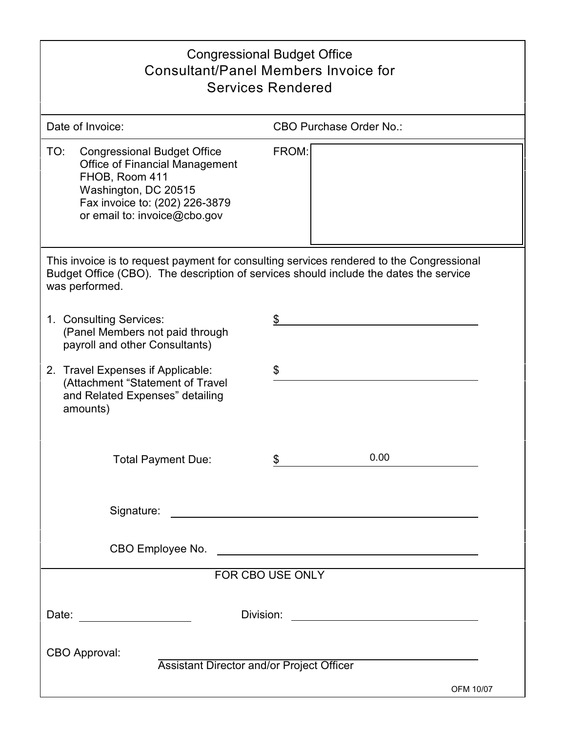| <b>Congressional Budget Office</b><br><b>Consultant/Panel Members Invoice for</b><br><b>Services Rendered</b>                                                                                       |                                                                                                                      |  |  |  |
|-----------------------------------------------------------------------------------------------------------------------------------------------------------------------------------------------------|----------------------------------------------------------------------------------------------------------------------|--|--|--|
| Date of Invoice:                                                                                                                                                                                    | <b>CBO Purchase Order No.:</b>                                                                                       |  |  |  |
| TO:<br><b>Congressional Budget Office</b><br><b>Office of Financial Management</b><br>FHOB, Room 411<br>Washington, DC 20515<br>Fax invoice to: (202) 226-3879<br>or email to: invoice@cbo.gov      | FROM:                                                                                                                |  |  |  |
| This invoice is to request payment for consulting services rendered to the Congressional<br>Budget Office (CBO). The description of services should include the dates the service<br>was performed. |                                                                                                                      |  |  |  |
| 1. Consulting Services:<br>(Panel Members not paid through<br>payroll and other Consultants)                                                                                                        | \$                                                                                                                   |  |  |  |
| Travel Expenses if Applicable:<br>2.<br>(Attachment "Statement of Travel<br>and Related Expenses" detailing<br>amounts)                                                                             | \$                                                                                                                   |  |  |  |
| <b>Total Payment Due:</b>                                                                                                                                                                           | 0.00<br>\$                                                                                                           |  |  |  |
| Signature:                                                                                                                                                                                          | <u> 1989 - Johann Harry Barn, mars ar breist ar y breist ar breist ar breist ar breist ar breist ar breist ar br</u> |  |  |  |
|                                                                                                                                                                                                     |                                                                                                                      |  |  |  |
| FOR CBO USE ONLY                                                                                                                                                                                    |                                                                                                                      |  |  |  |
| Date: _______________________                                                                                                                                                                       |                                                                                                                      |  |  |  |
| CBO Approval:<br>Assistant Director and/or Project Officer<br>OFM 10/07                                                                                                                             |                                                                                                                      |  |  |  |